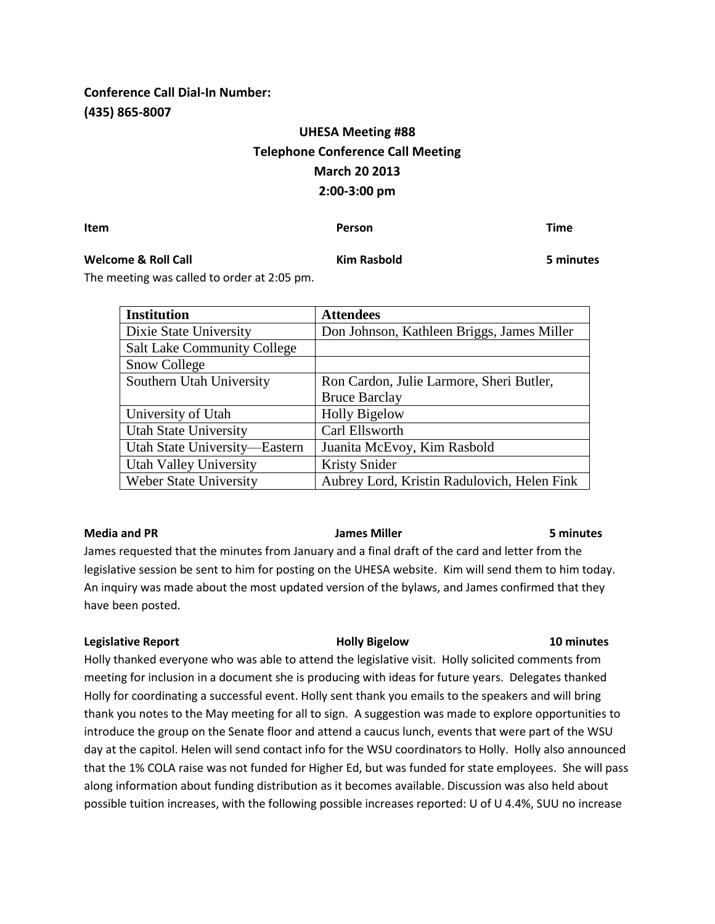# **Conference Call Dial-In Number: (435) 865-8007**

# **UHESA Meeting #88 Telephone Conference Call Meeting March 20 2013 2:00-3:00 pm**

**Item Person Time**

## **Welcome & Roll Call Kim Rasbold 5 minutes**

The meeting was called to order at 2:05 pm.

| <b>Institution</b>                 | <b>Attendees</b>                            |
|------------------------------------|---------------------------------------------|
| Dixie State University             | Don Johnson, Kathleen Briggs, James Miller  |
| <b>Salt Lake Community College</b> |                                             |
| Snow College                       |                                             |
| Southern Utah University           | Ron Cardon, Julie Larmore, Sheri Butler,    |
|                                    | <b>Bruce Barclay</b>                        |
| University of Utah                 | <b>Holly Bigelow</b>                        |
| <b>Utah State University</b>       | Carl Ellsworth                              |
| Utah State University—Eastern      | Juanita McEvoy, Kim Rasbold                 |
| <b>Utah Valley University</b>      | <b>Kristy Snider</b>                        |
| Weber State University             | Aubrey Lord, Kristin Radulovich, Helen Fink |

### **Media and PR James Miller 5 minutes**

James requested that the minutes from January and a final draft of the card and letter from the legislative session be sent to him for posting on the UHESA website. Kim will send them to him today. An inquiry was made about the most updated version of the bylaws, and James confirmed that they have been posted.

### **Legislative Report Holly Bigelow 10 minutes**

Holly thanked everyone who was able to attend the legislative visit. Holly solicited comments from meeting for inclusion in a document she is producing with ideas for future years. Delegates thanked Holly for coordinating a successful event. Holly sent thank you emails to the speakers and will bring thank you notes to the May meeting for all to sign. A suggestion was made to explore opportunities to introduce the group on the Senate floor and attend a caucus lunch, events that were part of the WSU day at the capitol. Helen will send contact info for the WSU coordinators to Holly. Holly also announced that the 1% COLA raise was not funded for Higher Ed, but was funded for state employees. She will pass along information about funding distribution as it becomes available. Discussion was also held about possible tuition increases, with the following possible increases reported: U of U 4.4%, SUU no increase